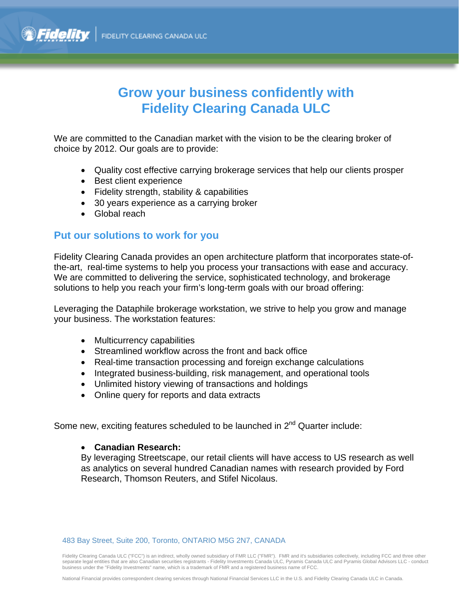## **Grow your business confidently with Fidelity Clearing Canada ULC**

We are committed to the Canadian market with the vision to be the clearing broker of choice by 2012. Our goals are to provide:

- Quality cost effective carrying brokerage services that help our clients prosper
- Best client experience
- Fidelity strength, stability & capabilities
- 30 years experience as a carrying broker
- Global reach

### **Put our solutions to work for you**

Fidelity Clearing Canada provides an open architecture platform that incorporates state-ofthe-art, real-time systems to help you process your transactions with ease and accuracy. We are committed to delivering the service, sophisticated technology, and brokerage solutions to help you reach your firm's long-term goals with our broad offering:

Leveraging the Dataphile brokerage workstation, we strive to help you grow and manage your business. The workstation features:

- Multicurrency capabilities
- Streamlined workflow across the front and back office
- Real-time transaction processing and foreign exchange calculations
- Integrated business-building, risk management, and operational tools
- Unlimited history viewing of transactions and holdings
- Online query for reports and data extracts

Some new, exciting features scheduled to be launched in 2<sup>nd</sup> Quarter include:

#### **Canadian Research:**

By leveraging Streetscape, our retail clients will have access to US research as well as analytics on several hundred Canadian names with research provided by Ford Research, Thomson Reuters, and Stifel Nicolaus.

483 Bay Street, Suite 200, Toronto, ONTARIO M5G 2N7, CANADA

Fidelity Clearing Canada ULC ("FCC") is an indirect, wholly owned subsidiary of FMR LLC ("FMR"). FMR and it's subsidiaries collectively, including FCC and three other separate legal entities that are also Canadian securities registrants - Fidelity Investments Canada ULC, Pyramis Canada ULC and Pyramis Global Advisors LLC - conduct business under the "Fidelity Investments" name, which is a trademark of FMR and a registered business name of FCC.